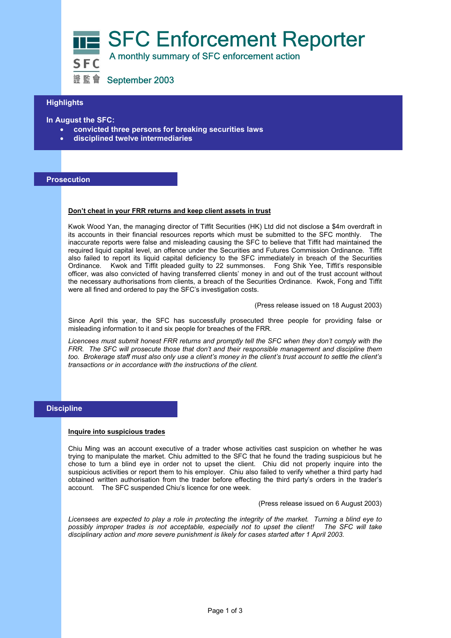



證監會 September 2003

# **Highlights**

**In August the SFC:** 

- **convicted three persons for breaking securities laws**
- **disciplined twelve intermediaries**

## **Prosecution**

## **Don't cheat in your FRR returns and keep client assets in trust**

Kwok Wood Yan, the managing director of Tiffit Securities (HK) Ltd did not disclose a \$4m overdraft in its accounts in their financial resources reports which must be submitted to the SFC monthly. The inaccurate reports were false and misleading causing the SFC to believe that Tiffit had maintained the required liquid capital level, an offence under the Securities and Futures Commission Ordinance. Tiffit also failed to report its liquid capital deficiency to the SFC immediately in breach of the Securities Ordinance. Kwok and Tiffit pleaded guilty to 22 summonses. Fong Shik Yee, Tiffit's responsible officer, was also convicted of having transferred clients' money in and out of the trust account without the necessary authorisations from clients, a breach of the Securities Ordinance. Kwok, Fong and Tiffit were all fined and ordered to pay the SFC's investigation costs.

(Press release issued on 18 August 2003)

Since April this year, the SFC has successfully prosecuted three people for providing false or misleading information to it and six people for breaches of the FRR.

*Licencees must submit honest FRR returns and promptly tell the SFC when they don't comply with the FRR. The SFC will prosecute those that don't and their responsible management and discipline them too. Brokerage staff must also only use a client's money in the client's trust account to settle the client's transactions or in accordance with the instructions of the client.* 

## **Discipline**

#### **Inquire into suspicious trades**

Chiu Ming was an account executive of a trader whose activities cast suspicion on whether he was trying to manipulate the market. Chiu admitted to the SFC that he found the trading suspicious but he chose to turn a blind eye in order not to upset the client. Chiu did not properly inquire into the suspicious activities or report them to his employer. Chiu also failed to verify whether a third party had obtained written authorisation from the trader before effecting the third party's orders in the trader's account. The SFC suspended Chiu's licence for one week.

(Press release issued on 6 August 2003)

*Licensees are expected to play a role in protecting the integrity of the market. Turning a blind eye to possibly improper trades is not acceptable, especially not to upset the client! The SFC will take disciplinary action and more severe punishment is likely for cases started after 1 April 2003.*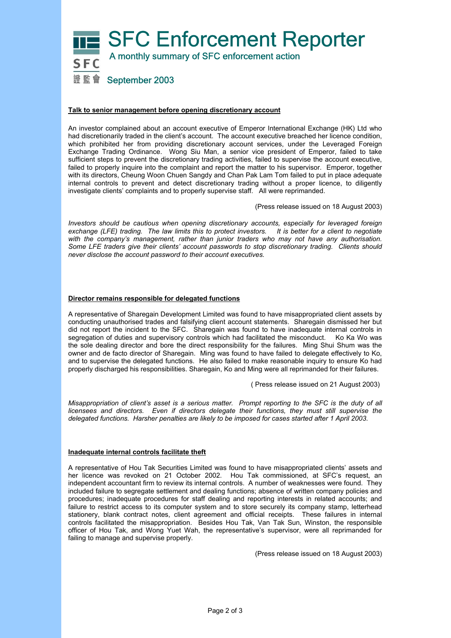

### **Talk to senior management before opening discretionary account**

An investor complained about an account executive of Emperor International Exchange (HK) Ltd who had discretionarily traded in the client's account. The account executive breached her licence condition, which prohibited her from providing discretionary account services, under the Leveraged Foreign Exchange Trading Ordinance. Wong Siu Man, a senior vice president of Emperor, failed to take sufficient steps to prevent the discretionary trading activities, failed to supervise the account executive, failed to properly inquire into the complaint and report the matter to his supervisor. Emperor, together with its directors, Cheung Woon Chuen Sangdy and Chan Pak Lam Tom failed to put in place adequate internal controls to prevent and detect discretionary trading without a proper licence, to diligently investigate clients' complaints and to properly supervise staff. All were reprimanded.

(Press release issued on 18 August 2003)

*Investors should be cautious when opening discretionary accounts, especially for leveraged foreign exchange (LFE) trading. The law limits this to protect investors. It is better for a client to negotiate with the company's management, rather than junior traders who may not have any authorisation. Some LFE traders give their clients' account passwords to stop discretionary trading. Clients should never disclose the account password to their account executives.* 

### **Director remains responsible for delegated functions**

A representative of Sharegain Development Limited was found to have misappropriated client assets by conducting unauthorised trades and falsifying client account statements. Sharegain dismissed her but did not report the incident to the SFC. Sharegain was found to have inadequate internal controls in segregation of duties and supervisory controls which had facilitated the misconduct. Ko Ka Wo was the sole dealing director and bore the direct responsibility for the failures. Ming Shui Shum was the owner and de facto director of Sharegain. Ming was found to have failed to delegate effectively to Ko, and to supervise the delegated functions. He also failed to make reasonable inquiry to ensure Ko had properly discharged his responsibilities. Sharegain, Ko and Ming were all reprimanded for their failures.

( Press release issued on 21 August 2003)

*Misappropriation of client's asset is a serious matter. Prompt reporting to the SFC is the duty of all licensees and directors. Even if directors delegate their functions, they must still supervise the delegated functions. Harsher penalties are likely to be imposed for cases started after 1 April 2003.* 

### **Inadequate internal controls facilitate theft**

A representative of Hou Tak Securities Limited was found to have misappropriated clients' assets and her licence was revoked on 21 October 2002. Hou Tak commissioned, at SFC's request, an independent accountant firm to review its internal controls. A number of weaknesses were found. They included failure to segregate settlement and dealing functions; absence of written company policies and procedures; inadequate procedures for staff dealing and reporting interests in related accounts; and failure to restrict access to its computer system and to store securely its company stamp, letterhead stationery, blank contract notes, client agreement and official receipts. These failures in internal controls facilitated the misappropriation. Besides Hou Tak, Van Tak Sun, Winston, the responsible officer of Hou Tak, and Wong Yuet Wah, the representative's supervisor, were all reprimanded for failing to manage and supervise properly.

(Press release issued on 18 August 2003)